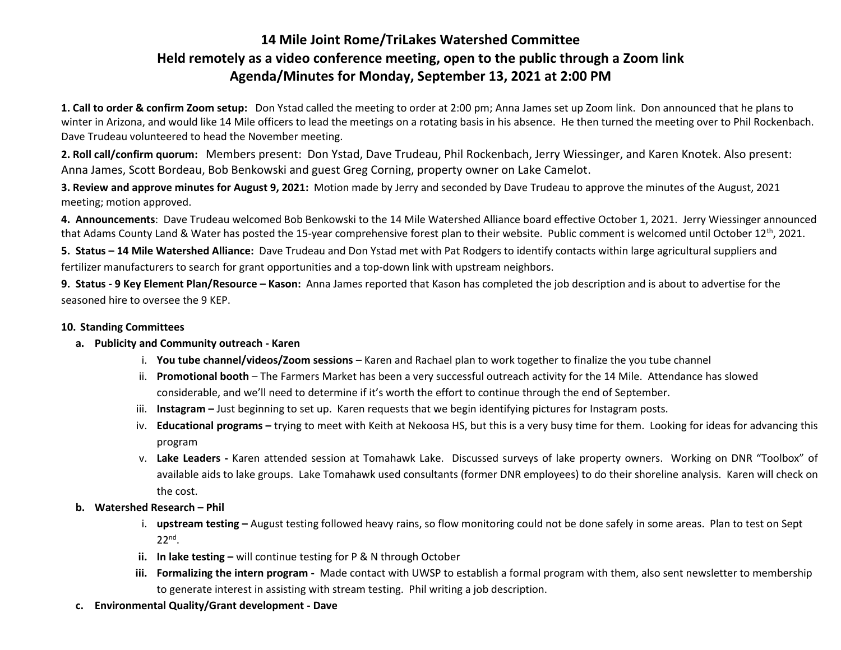## **14 Mile Joint Rome/TriLakes Watershed Committee Held remotely as a video conference meeting, open to the public through a Zoom link Agenda/Minutes for Monday, September 13, 2021 at 2:00 PM**

**1. Call to order & confirm Zoom setup:** Don Ystad called the meeting to order at 2:00 pm; Anna James set up Zoom link. Don announced that he plans to winter in Arizona, and would like 14 Mile officers to lead the meetings on a rotating basis in his absence. He then turned the meeting over to Phil Rockenbach. Dave Trudeau volunteered to head the November meeting.

**2. Roll call/confirm quorum:** Members present: Don Ystad, Dave Trudeau, Phil Rockenbach, Jerry Wiessinger, and Karen Knotek. Also present: Anna James, Scott Bordeau, Bob Benkowski and guest Greg Corning, property owner on Lake Camelot.

**3. Review and approve minutes for August 9, 2021:** Motion made by Jerry and seconded by Dave Trudeau to approve the minutes of the August, 2021 meeting; motion approved.

**4. Announcements**: Dave Trudeau welcomed Bob Benkowski to the 14 Mile Watershed Alliance board effective October 1, 2021. Jerry Wiessinger announced that Adams County Land & Water has posted the 15-year comprehensive forest plan to their website. Public comment is welcomed until October 12<sup>th</sup>, 2021.

**5. Status – 14 Mile Watershed Alliance:** Dave Trudeau and Don Ystad met with Pat Rodgers to identify contacts within large agricultural suppliers and fertilizer manufacturers to search for grant opportunities and a top-down link with upstream neighbors.

**9. Status - 9 Key Element Plan/Resource – Kason:** Anna James reported that Kason has completed the job description and is about to advertise for the seasoned hire to oversee the 9 KEP.

## **10. Standing Committees**

- **a. Publicity and Community outreach - Karen**
	- i. **You tube channel/videos/Zoom sessions** Karen and Rachael plan to work together to finalize the you tube channel
	- ii. **Promotional booth**  The Farmers Market has been a very successful outreach activity for the 14 Mile. Attendance has slowed considerable, and we'll need to determine if it's worth the effort to continue through the end of September.
	- iii. **Instagram –** Just beginning to set up. Karen requests that we begin identifying pictures for Instagram posts.
	- iv. **Educational programs –** trying to meet with Keith at Nekoosa HS, but this is a very busy time for them. Looking for ideas for advancing this program
	- v. **Lake Leaders -** Karen attended session at Tomahawk Lake. Discussed surveys of lake property owners. Working on DNR "Toolbox" of available aids to lake groups. Lake Tomahawk used consultants (former DNR employees) to do their shoreline analysis. Karen will check on the cost.
- **b. Watershed Research – Phil**
	- i. **upstream testing –** August testing followed heavy rains, so flow monitoring could not be done safely in some areas. Plan to test on Sept  $22<sup>nd</sup>$ .
	- **ii. In lake testing –** will continue testing for P & N through October
	- **iii. Formalizing the intern program -** Made contact with UWSP to establish a formal program with them, also sent newsletter to membership to generate interest in assisting with stream testing. Phil writing a job description.
- **c. Environmental Quality/Grant development - Dave**